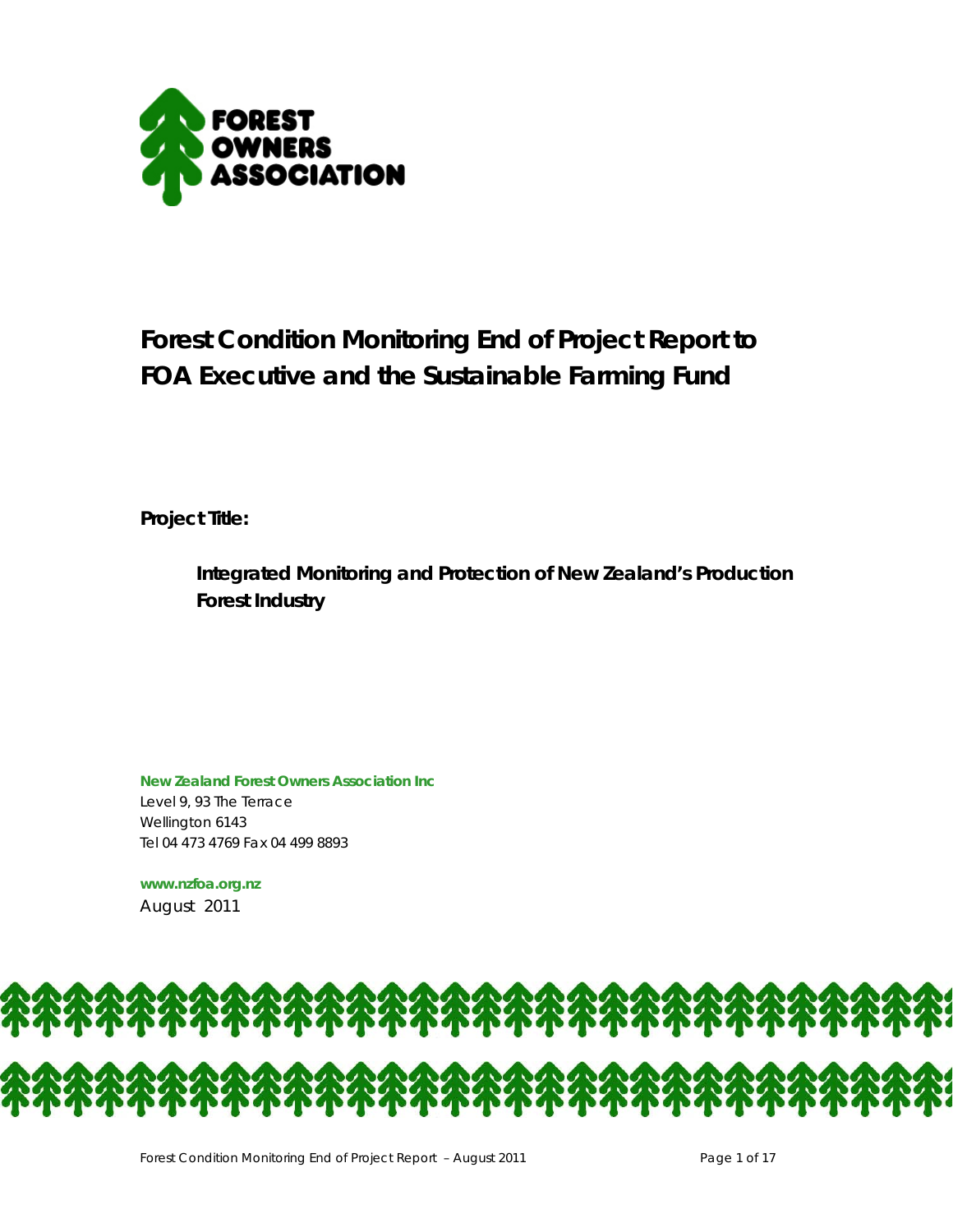

# **Forest Condition Monitoring End of Project Report to FOA Executive and the Sustainable Farming Fund**

**Project Title:** 

**Integrated Monitoring and Protection of New Zealand's Production Forest Industry** 

**New Zealand Forest Owners Association Inc**  Level 9, 93 The Terrace Wellington 6143 Tel 04 473 4769 Fax 04 499 8893

**www.nzfoa.org.nz**  August 2011

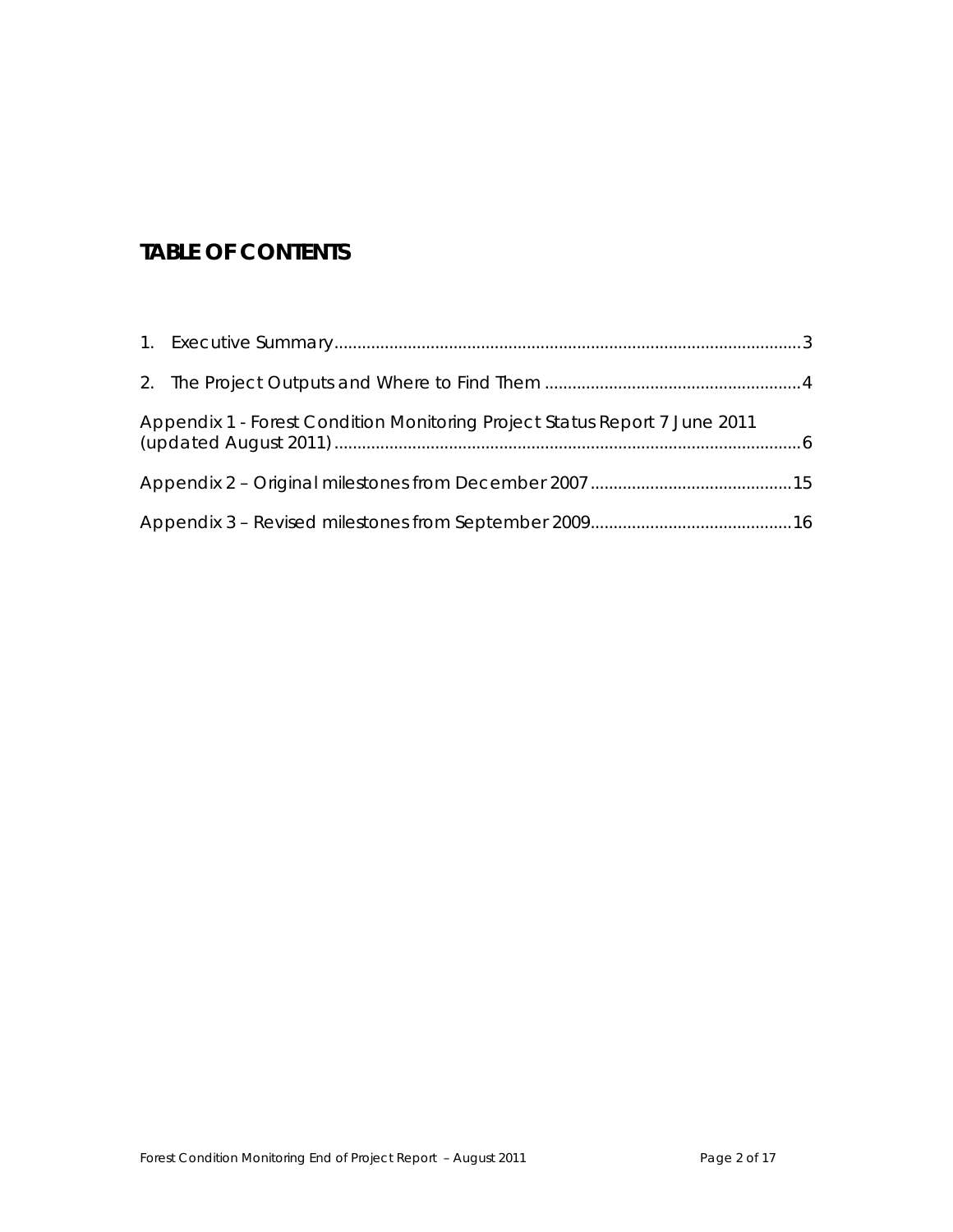# **TABLE OF CONTENTS**

| Appendix 1 - Forest Condition Monitoring Project Status Report 7 June 2011 |  |
|----------------------------------------------------------------------------|--|
|                                                                            |  |
|                                                                            |  |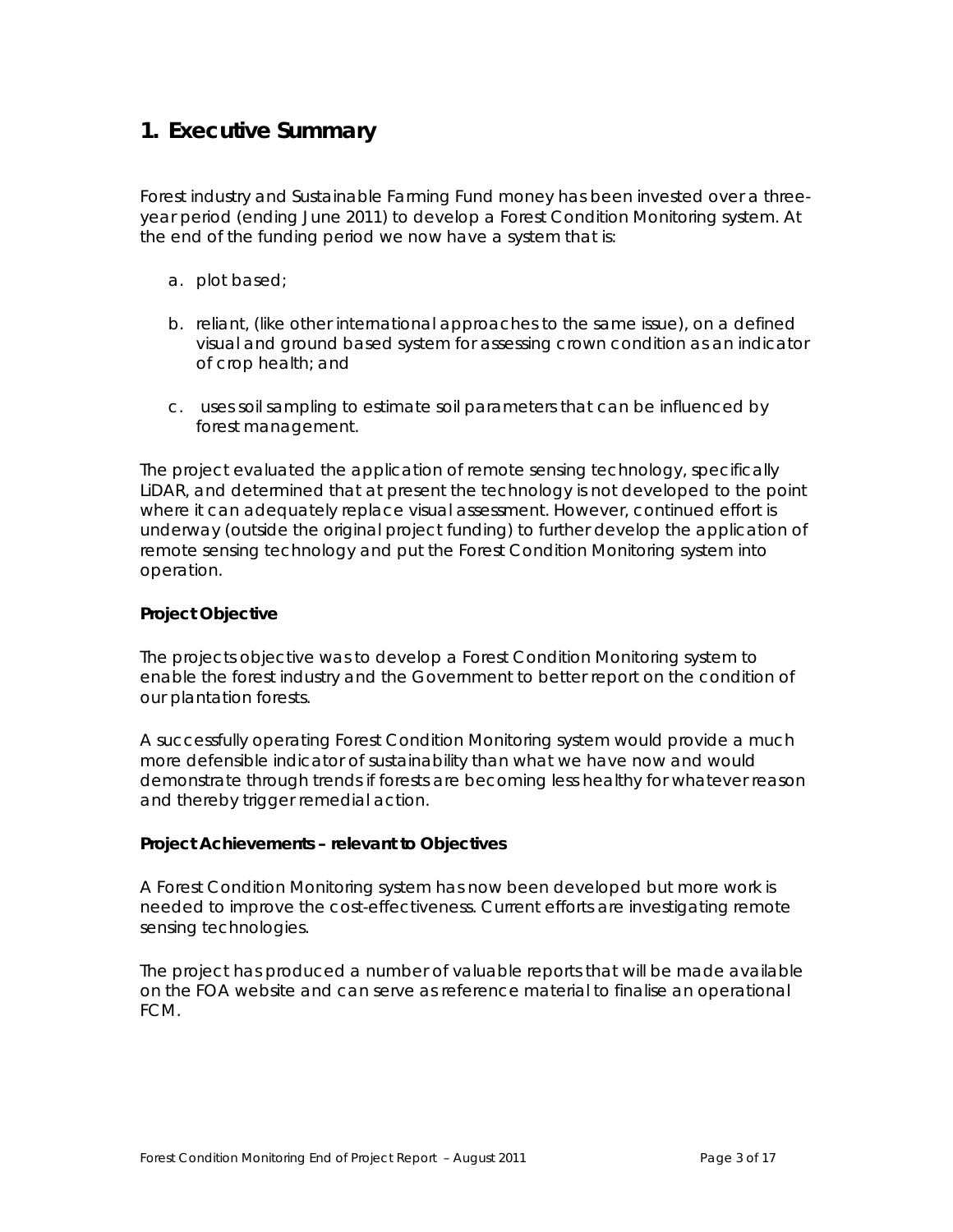# **1. Executive Summary**

Forest industry and Sustainable Farming Fund money has been invested over a threeyear period (ending June 2011) to develop a Forest Condition Monitoring system. At the end of the funding period we now have a system that is:

- a. plot based;
- b. reliant, (like other international approaches to the same issue), on a defined visual and ground based system for assessing crown condition as an indicator of crop health; and
- c. uses soil sampling to estimate soil parameters that can be influenced by forest management.

The project evaluated the application of remote sensing technology, specifically LiDAR, and determined that at present the technology is not developed to the point where it can adequately replace visual assessment. However, continued effort is underway (outside the original project funding) to further develop the application of remote sensing technology and put the Forest Condition Monitoring system into operation.

### **Project Objective**

The projects objective was to develop a Forest Condition Monitoring system to enable the forest industry and the Government to better report on the condition of our plantation forests.

A successfully operating Forest Condition Monitoring system would provide a much more defensible indicator of sustainability than what we have now and would demonstrate through trends if forests are becoming less healthy for whatever reason and thereby trigger remedial action.

#### **Project Achievements – relevant to Objectives**

A Forest Condition Monitoring system has now been developed but more work is needed to improve the cost-effectiveness. Current efforts are investigating remote sensing technologies.

The project has produced a number of valuable reports that will be made available on the FOA website and can serve as reference material to finalise an operational FCM.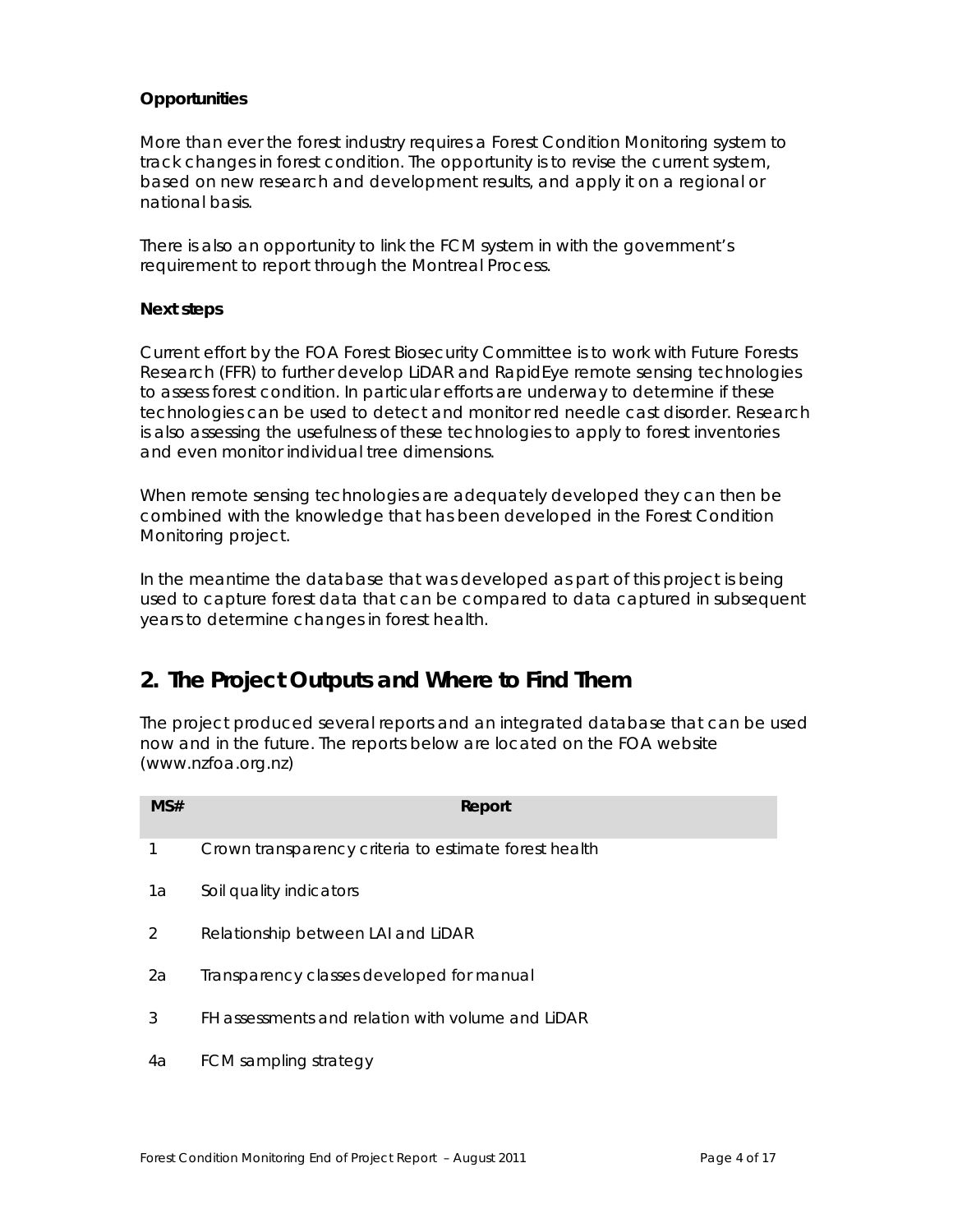## **Opportunities**

More than ever the forest industry requires a Forest Condition Monitoring system to track changes in forest condition. The opportunity is to revise the current system, based on new research and development results, and apply it on a regional or national basis.

There is also an opportunity to link the FCM system in with the government's requirement to report through the Montreal Process.

#### **Next steps**

Current effort by the FOA Forest Biosecurity Committee is to work with Future Forests Research (FFR) to further develop LiDAR and RapidEye remote sensing technologies to assess forest condition. In particular efforts are underway to determine if these technologies can be used to detect and monitor red needle cast disorder. Research is also assessing the usefulness of these technologies to apply to forest inventories and even monitor individual tree dimensions.

When remote sensing technologies are adequately developed they can then be combined with the knowledge that has been developed in the Forest Condition Monitoring project.

In the meantime the database that was developed as part of this project is being used to capture forest data that can be compared to data captured in subsequent years to determine changes in forest health.

# **2. The Project Outputs and Where to Find Them**

The project produced several reports and an integrated database that can be used now and in the future. The reports below are located on the FOA website (www.nzfoa.org.nz)

| MS# | Report                                                |
|-----|-------------------------------------------------------|
| 1   | Crown transparency criteria to estimate forest health |
| 1a  | Soil quality indicators                               |
| 2   | Relationship between LAI and LIDAR                    |
| 2a  | Transparency classes developed for manual             |
| 3   | FH assessments and relation with volume and LIDAR     |
| 4a  | FCM sampling strategy                                 |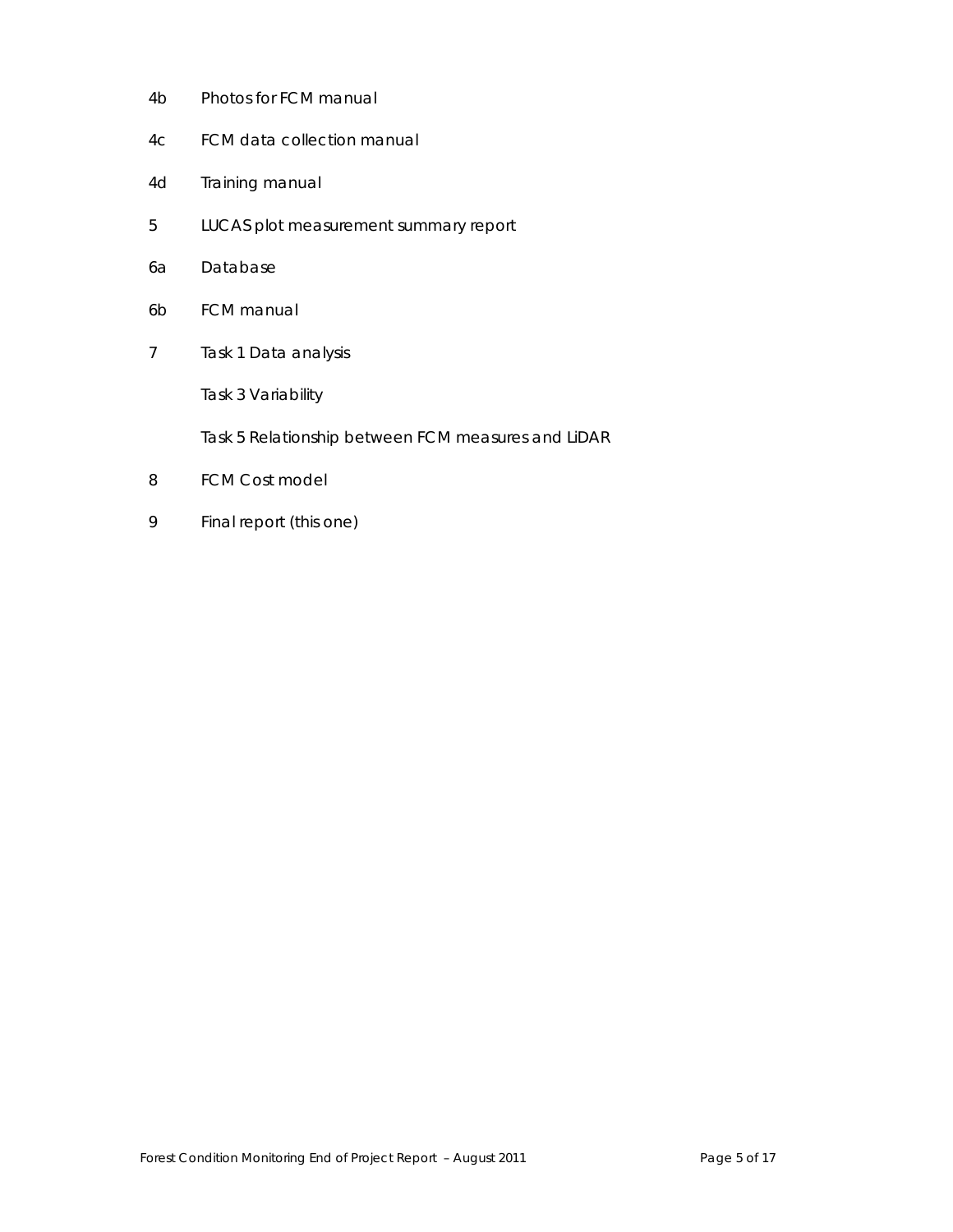- 4b Photos for FCM manual
- 4c FCM data collection manual
- 4d Training manual
- 5 LUCAS plot measurement summary report
- 6a Database
- 6b FCM manual
- 7 Task 1 Data analysis

Task 3 Variability

Task 5 Relationship between FCM measures and LiDAR

- 8 FCM Cost model
- 9 Final report (this one)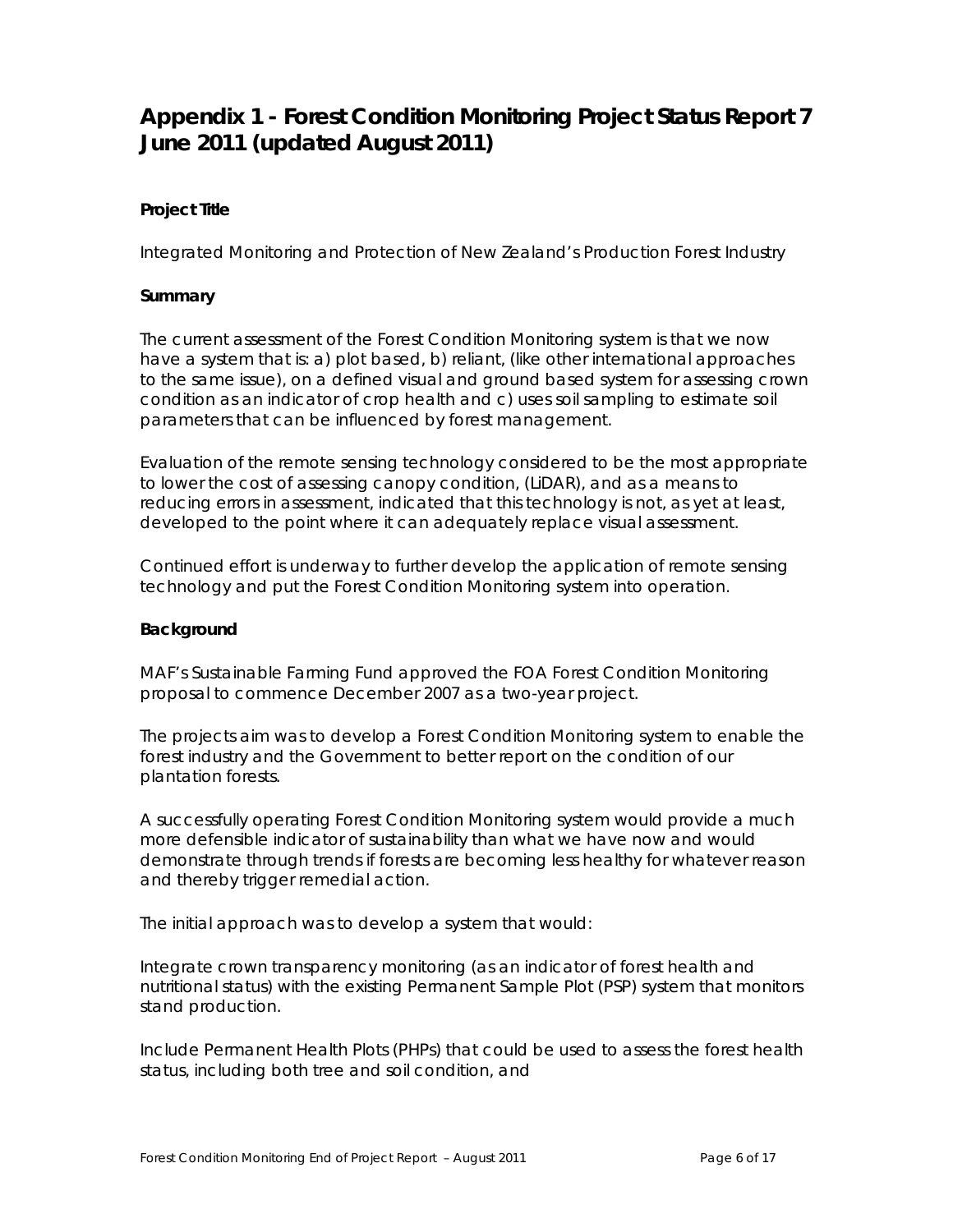# **Appendix 1 - Forest Condition Monitoring Project Status Report 7 June 2011 (updated August 2011)**

# **Project Title**

Integrated Monitoring and Protection of New Zealand's Production Forest Industry

# **Summary**

The current assessment of the Forest Condition Monitoring system is that we now have a system that is: a) plot based, b) reliant, (like other international approaches to the same issue), on a defined visual and ground based system for assessing crown condition as an indicator of crop health and c) uses soil sampling to estimate soil parameters that can be influenced by forest management.

Evaluation of the remote sensing technology considered to be the most appropriate to lower the cost of assessing canopy condition, (LiDAR), and as a means to reducing errors in assessment, indicated that this technology is not, as yet at least, developed to the point where it can adequately replace visual assessment.

Continued effort is underway to further develop the application of remote sensing technology and put the Forest Condition Monitoring system into operation.

#### **Background**

MAF's Sustainable Farming Fund approved the FOA Forest Condition Monitoring proposal to commence December 2007 as a two-year project.

The projects aim was to develop a Forest Condition Monitoring system to enable the forest industry and the Government to better report on the condition of our plantation forests.

A successfully operating Forest Condition Monitoring system would provide a much more defensible indicator of sustainability than what we have now and would demonstrate through trends if forests are becoming less healthy for whatever reason and thereby trigger remedial action.

The initial approach was to develop a system that would:

Integrate crown transparency monitoring (as an indicator of forest health and nutritional status) with the existing Permanent Sample Plot (PSP) system that monitors stand production.

Include Permanent Health Plots (PHPs) that could be used to assess the forest health status, including both tree and soil condition, and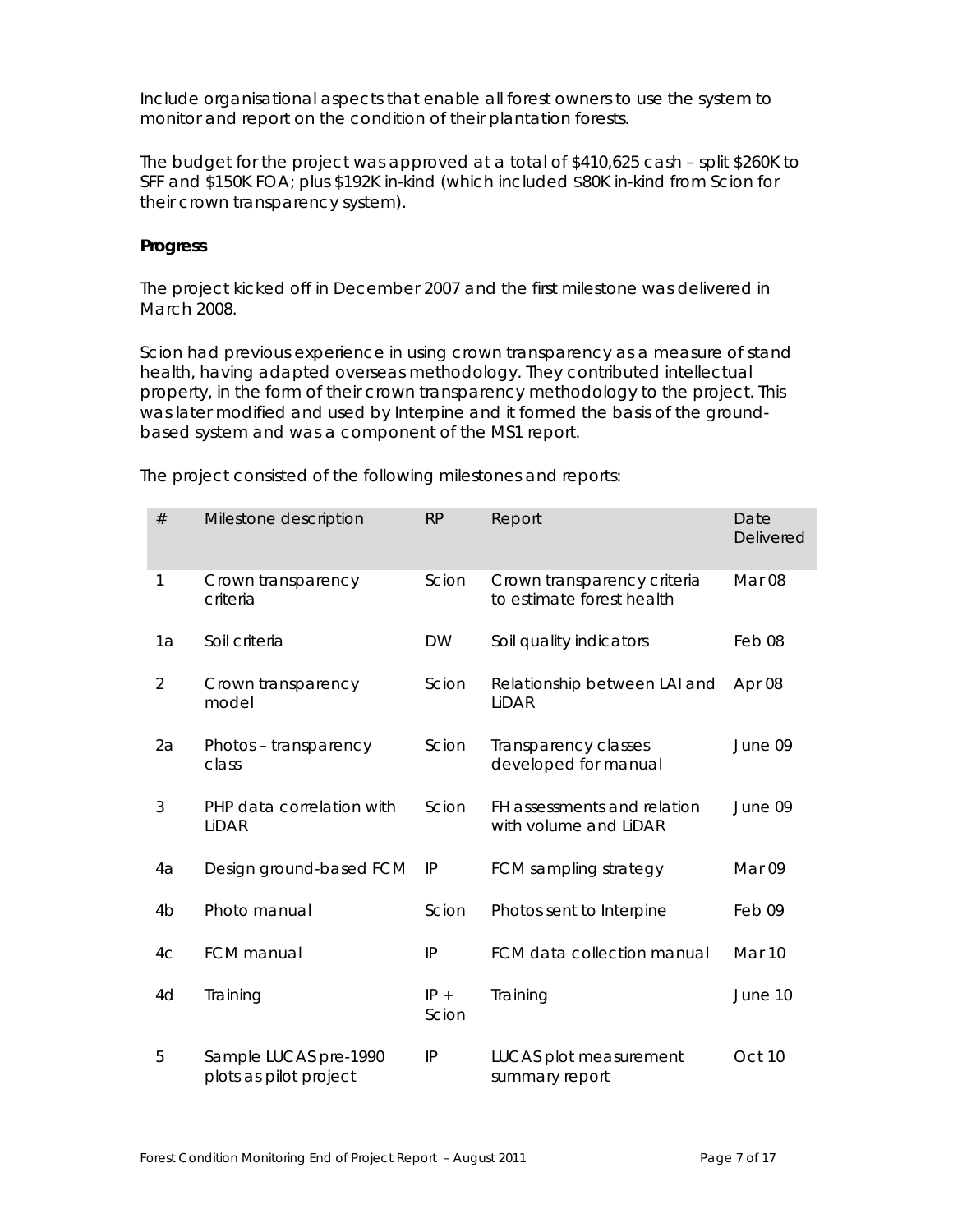Include organisational aspects that enable all forest owners to use the system to monitor and report on the condition of their plantation forests.

The budget for the project was approved at a total of \$410,625 cash – split \$260K to SFF and \$150K FOA; plus \$192K in-kind (which included \$80K in-kind from Scion for their crown transparency system).

#### **Progress**

The project kicked off in December 2007 and the first milestone was delivered in March 2008.

Scion had previous experience in using crown transparency as a measure of stand health, having adapted overseas methodology. They contributed intellectual property, in the form of their crown transparency methodology to the project. This was later modified and used by Interpine and it formed the basis of the groundbased system and was a component of the MS1 report.

| #              | Milestone description                           | <b>RP</b>       | Report                                                   | Date<br><b>Delivered</b> |
|----------------|-------------------------------------------------|-----------------|----------------------------------------------------------|--------------------------|
| 1              | Crown transparency<br>criteria                  | Scion           | Crown transparency criteria<br>to estimate forest health | Mar <sub>08</sub>        |
| 1a             | Soil criteria                                   | <b>DW</b>       | Soil quality indicators                                  | Feb08                    |
| $\overline{2}$ | Crown transparency<br>model                     | Scion           | Relationship between LAI and<br>LiDAR                    | Apr 08                   |
| 2a             | Photos - transparency<br>class                  | Scion           | Transparency classes<br>developed for manual             | June 09                  |
| 3              | PHP data correlation with<br>LIDAR              | Scion           | FH assessments and relation<br>with volume and LiDAR     | June 09                  |
| 4a             | Design ground-based FCM                         | IP              | FCM sampling strategy                                    | Mar 09                   |
| 4 <sub>b</sub> | Photo manual                                    | Scion           | Photos sent to Interpine                                 | Feb 09                   |
| 4 <sub>C</sub> | <b>FCM</b> manual                               | IP              | FCM data collection manual                               | Mar 10                   |
| 4d             | Training                                        | $IP +$<br>Scion | Training                                                 | June 10                  |
| 5              | Sample LUCAS pre-1990<br>plots as pilot project | IP              | LUCAS plot measurement<br>summary report                 | Oct 10                   |

The project consisted of the following milestones and reports: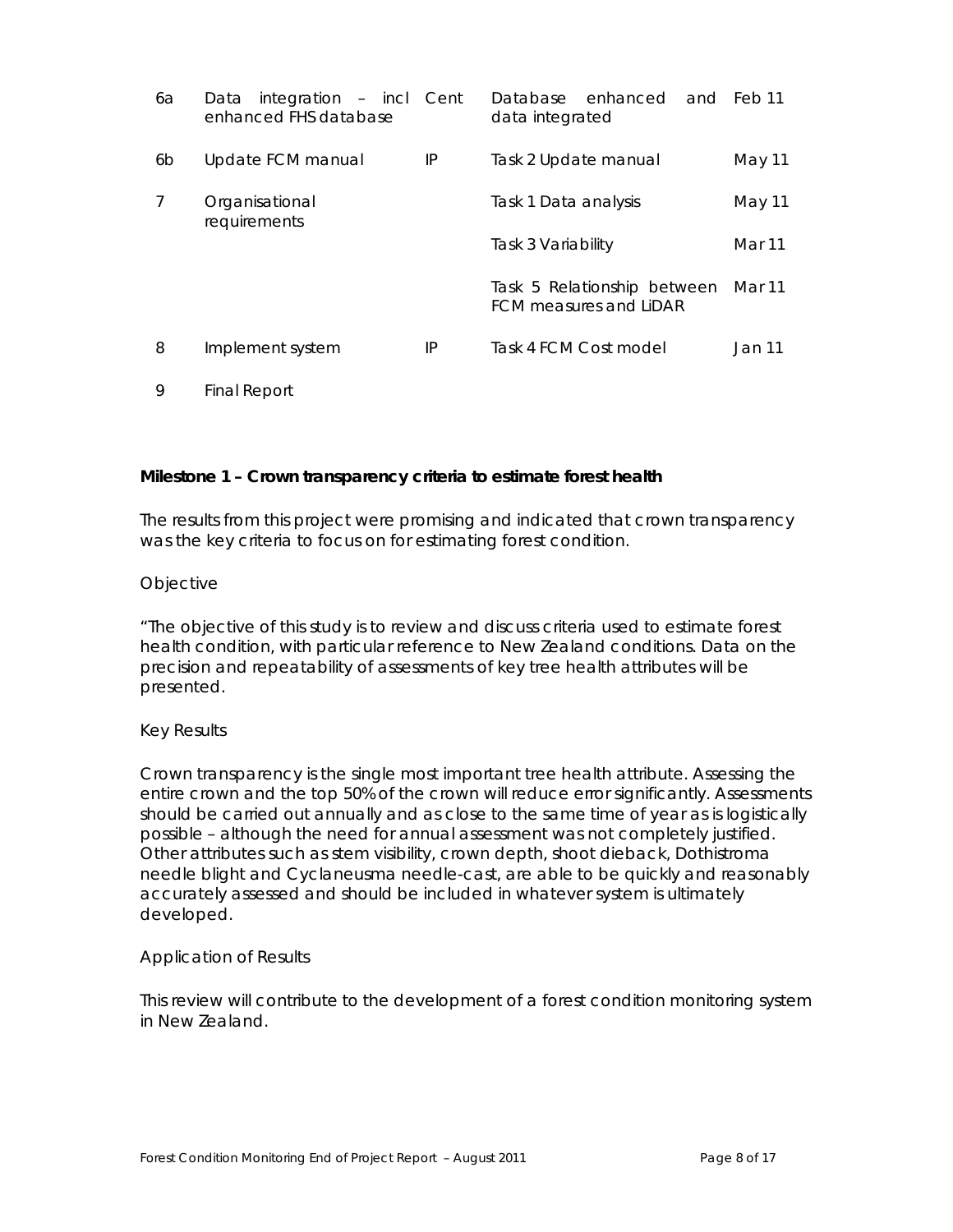| 6a | integration - incl Cent<br>Data<br>enhanced FHS database |    | enhanced<br>Database<br>data integrated                      | and Feb11 |
|----|----------------------------------------------------------|----|--------------------------------------------------------------|-----------|
| 6b | Update FCM manual                                        | IP | Task 2 Update manual                                         | May 11    |
| 7  | Organisational<br>requirements                           |    | Task 1 Data analysis                                         | May 11    |
|    |                                                          |    | Task 3 Variability                                           | Mar 11    |
|    |                                                          |    | Task 5 Relationship between<br><b>FCM measures and LiDAR</b> | Mar 11    |
| 8  | Implement system                                         | IP | Task 4 FCM Cost model                                        | Jan 11    |
| 9  | <b>Final Report</b>                                      |    |                                                              |           |

#### **Milestone 1 – Crown transparency criteria to estimate forest health**

The results from this project were promising and indicated that crown transparency was the key criteria to focus on for estimating forest condition.

#### *Objective*

*"The objective of this study is to review and discuss criteria used to estimate forest health condition, with particular reference to New Zealand conditions. Data on the precision and repeatability of assessments of key tree health attributes will be presented.* 

#### *Key Results*

*Crown transparency is the single most important tree health attribute. Assessing the entire crown and the top 50% of the crown will reduce error significantly. Assessments should be carried out annually and as close to the same time of year as is logistically possible – although the need for annual assessment was not completely justified. Other attributes such as stem visibility, crown depth, shoot dieback, Dothistroma needle blight and Cyclaneusma needle-cast, are able to be quickly and reasonably accurately assessed and should be included in whatever system is ultimately developed.* 

#### *Application of Results*

*This review will contribute to the development of a forest condition monitoring system in New Zealand.*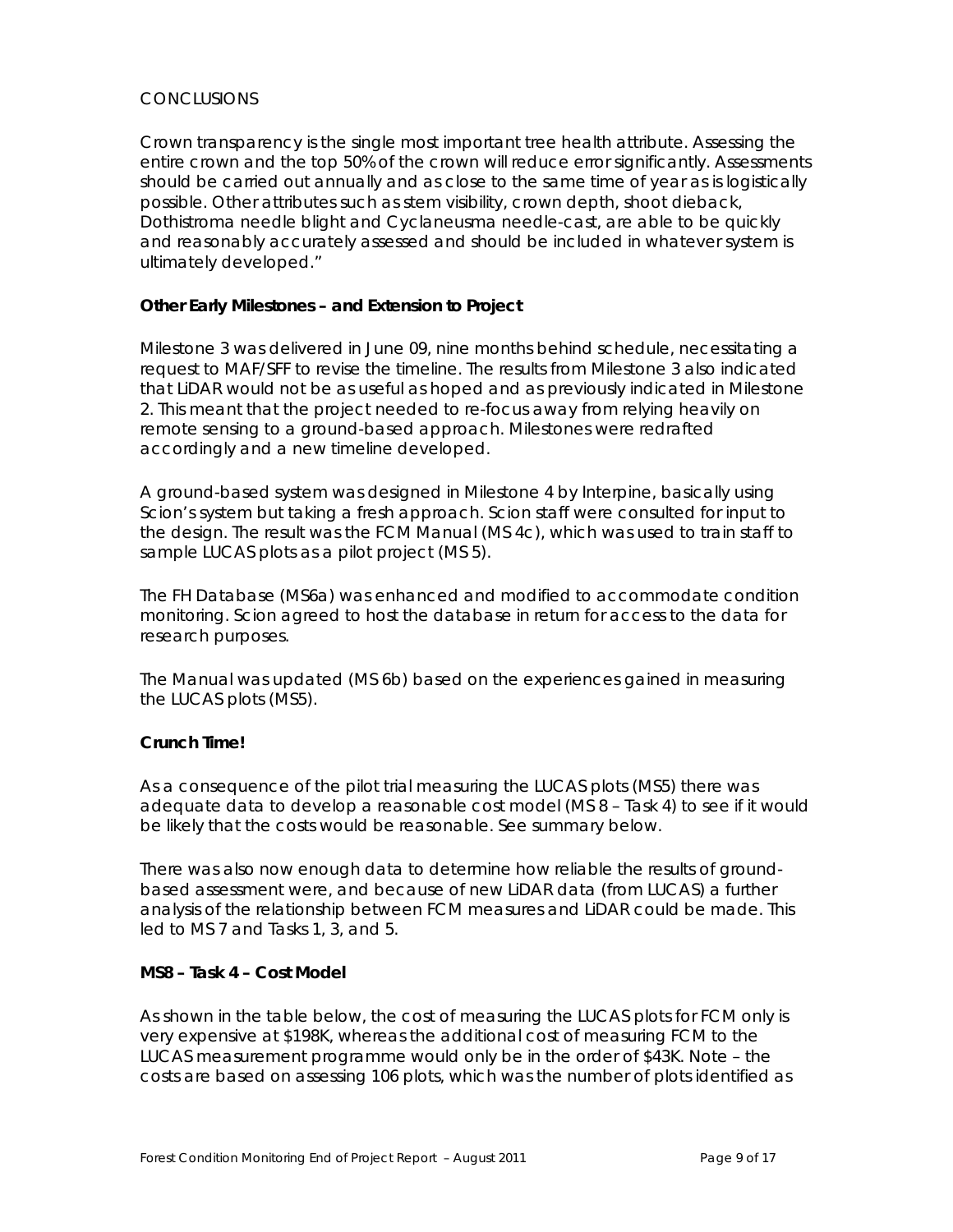# *CONCLUSIONS*

*Crown transparency is the single most important tree health attribute. Assessing the entire crown and the top 50% of the crown will reduce error significantly. Assessments should be carried out annually and as close to the same time of year as is logistically possible. Other attributes such as stem visibility, crown depth, shoot dieback, Dothistroma needle blight and Cyclaneusma needle-cast, are able to be quickly and reasonably accurately assessed and should be included in whatever system is ultimately developed."* 

### **Other Early Milestones – and Extension to Project**

Milestone 3 was delivered in June 09, nine months behind schedule, necessitating a request to MAF/SFF to revise the timeline. The results from Milestone 3 also indicated that LiDAR would not be as useful as hoped and as previously indicated in Milestone 2. This meant that the project needed to re-focus away from relying heavily on remote sensing to a ground-based approach. Milestones were redrafted accordingly and a new timeline developed.

A ground-based system was designed in Milestone 4 by Interpine, basically using Scion's system but taking a fresh approach. Scion staff were consulted for input to the design. The result was the FCM Manual (MS 4c), which was used to train staff to sample LUCAS plots as a pilot project (MS 5).

The FH Database (MS6a) was enhanced and modified to accommodate condition monitoring. Scion agreed to host the database in return for access to the data for research purposes.

The Manual was updated (MS 6b) based on the experiences gained in measuring the LUCAS plots (MS5).

# **Crunch Time!**

As a consequence of the pilot trial measuring the LUCAS plots (MS5) there was adequate data to develop a reasonable cost model (MS 8 – Task 4) to see if it would be likely that the costs would be reasonable. See summary below.

There was also now enough data to determine how reliable the results of groundbased assessment were, and because of new LiDAR data (from LUCAS) a further analysis of the relationship between FCM measures and LiDAR could be made. This led to MS 7 and Tasks 1, 3, and 5.

#### **MS8 – Task 4 – Cost Model**

As shown in the table below, the cost of measuring the LUCAS plots for FCM only is very expensive at \$198K, whereas the additional cost of measuring FCM to the LUCAS measurement programme would only be in the order of \$43K. Note – the costs are based on assessing 106 plots, which was the number of plots identified as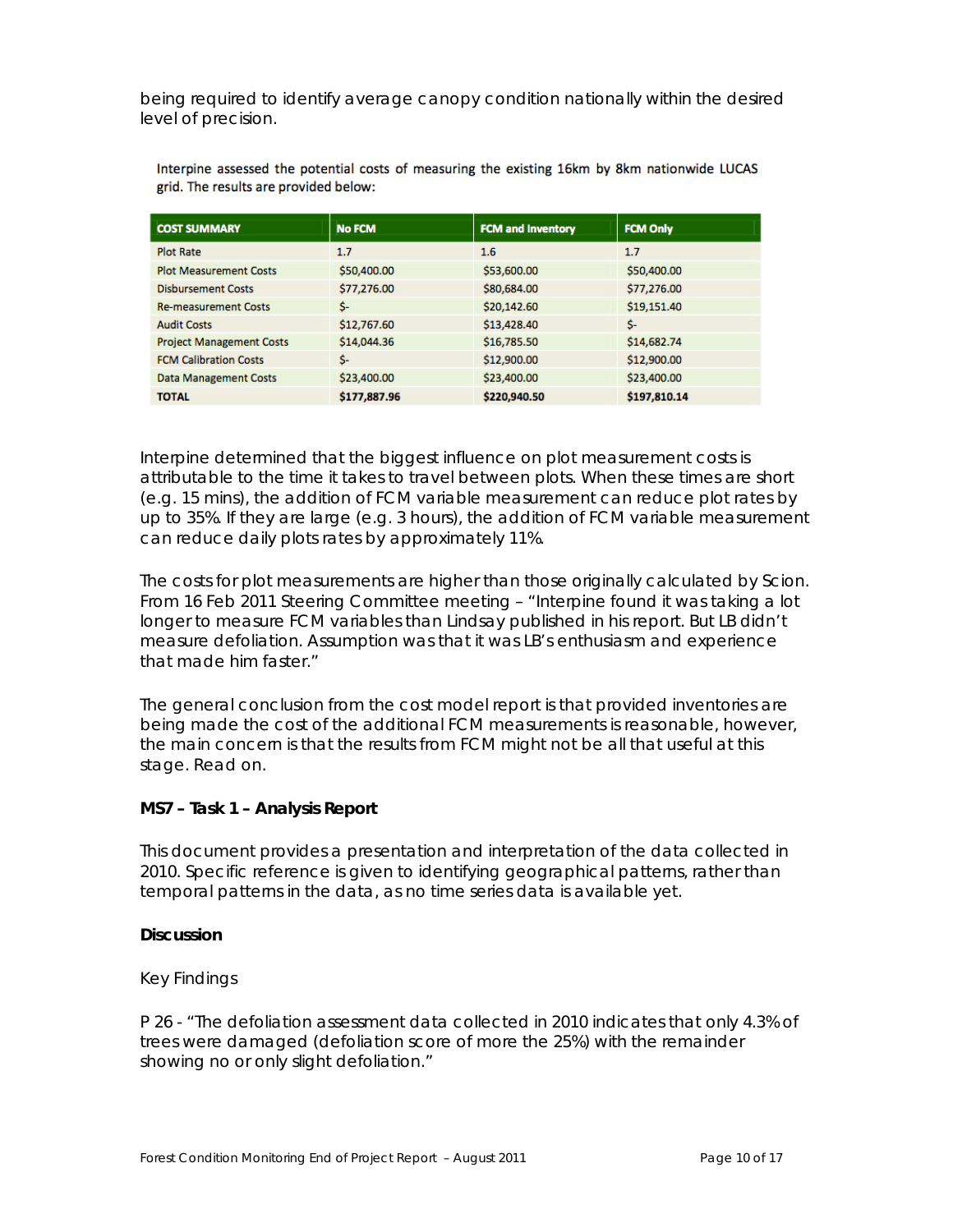being required to identify average canopy condition nationally within the desired level of precision.

| <b>COST SUMMARY</b>             | <b>No FCM</b> | <b>FCM and Inventory</b> | <b>FCM Only</b> |
|---------------------------------|---------------|--------------------------|-----------------|
| <b>Plot Rate</b>                | 1.7           | 1.6                      | 1.7             |
| <b>Plot Measurement Costs</b>   | \$50,400.00   | \$53,600.00              | \$50,400.00     |
| <b>Disbursement Costs</b>       | \$77,276.00   | \$80,684.00              | \$77,276.00     |
| <b>Re-measurement Costs</b>     | \$-           | \$20,142.60              | \$19,151.40     |
| <b>Audit Costs</b>              | \$12,767.60   | \$13,428.40              | \$-             |
| <b>Project Management Costs</b> | \$14,044.36   | \$16,785.50              | \$14,682.74     |
| <b>FCM Calibration Costs</b>    | Ś-            | \$12,900.00              | \$12,900.00     |
| <b>Data Management Costs</b>    | \$23,400.00   | \$23,400.00              | \$23,400.00     |
| <b>TOTAL</b>                    | \$177,887.96  | \$220,940.50             | \$197,810.14    |

Interpine assessed the potential costs of measuring the existing 16km by 8km nationwide LUCAS grid. The results are provided below:

Interpine determined that the biggest influence on plot measurement costs is attributable to the time it takes to travel between plots. When these times are short (e.g. 15 mins), the addition of FCM variable measurement can reduce plot rates by up to 35%. If they are large (e.g. 3 hours), the addition of FCM variable measurement can reduce daily plots rates by approximately 11%.

The costs for plot measurements are higher than those originally calculated by Scion. From 16 Feb 2011 Steering Committee meeting – "Interpine found it was taking a lot longer to measure FCM variables than Lindsay published in his report. But LB didn't measure defoliation. Assumption was that it was LB's enthusiasm and experience that made him faster."

The general conclusion from the cost model report is that provided inventories are being made the cost of the additional FCM measurements is reasonable, however, the main concern is that the results from FCM might not be all that useful at this stage. Read on.

# **MS7 – Task 1 – Analysis Report**

This document provides a presentation and interpretation of the data collected in 2010. Specific reference is given to identifying geographical patterns, rather than temporal patterns in the data, as no time series data is available yet.

#### **Discussion**

#### Key Findings

*P 26 - "The defoliation assessment data collected in 2010 indicates that only 4.3% of trees were damaged (defoliation score of more the 25%) with the remainder showing no or only slight defoliation."*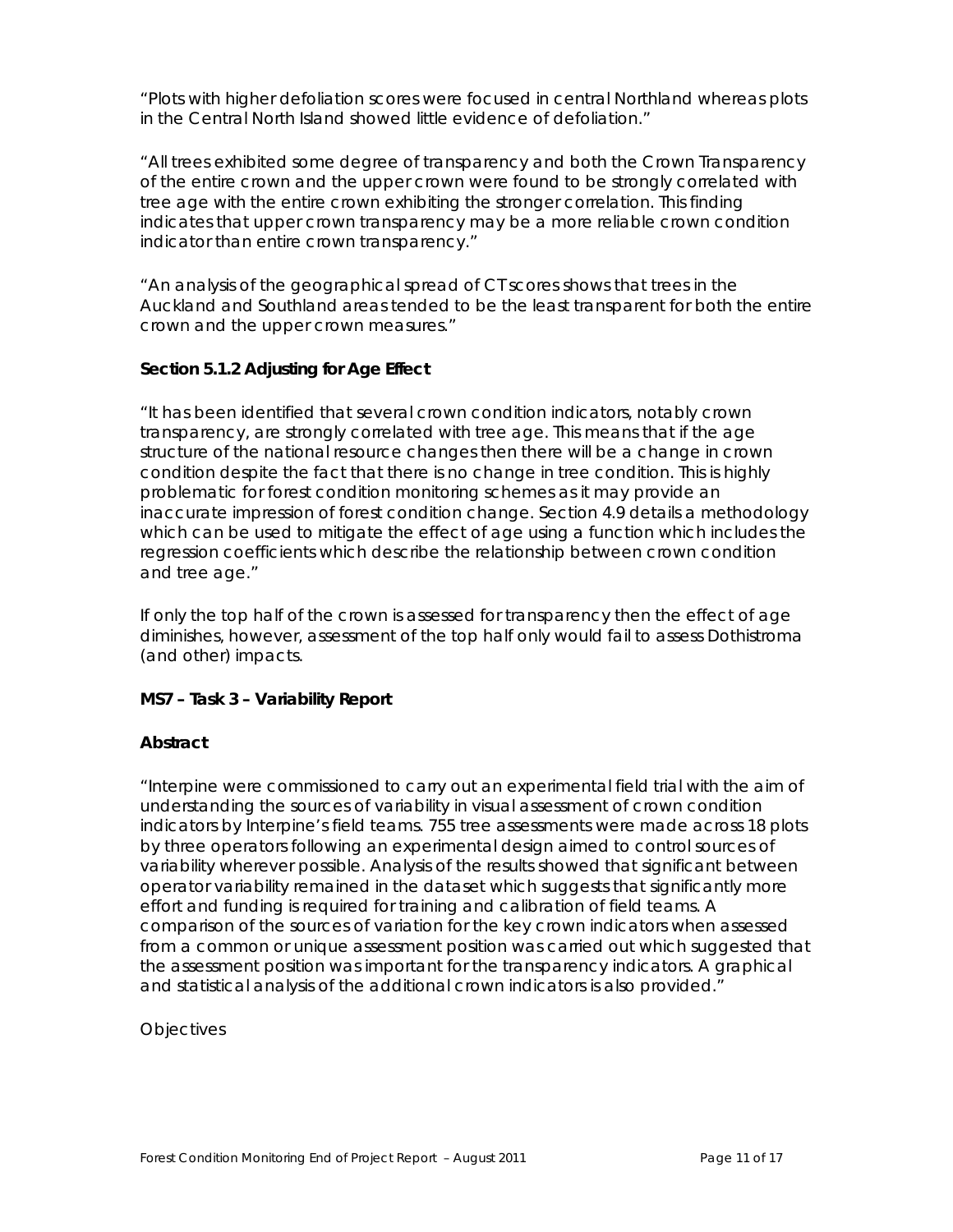*"Plots with higher defoliation scores were focused in central Northland whereas plots in the Central North Island showed little evidence of defoliation."* 

*"All trees exhibited some degree of transparency and both the Crown Transparency of the entire crown and the upper crown were found to be strongly correlated with tree age with the entire crown exhibiting the stronger correlation. This finding*  indicates that upper crown transparency may be a more reliable crown condition *indicator than entire crown transparency."* 

*"An analysis of the geographical spread of CT scores shows that trees in the Auckland and Southland areas tended to be the least transparent for both the entire crown and the upper crown measures."* 

# **Section 5.1.2 Adjusting for Age Effect**

*"It has been identified that several crown condition indicators, notably crown transparency, are strongly correlated with tree age. This means that if the age structure of the national resource changes then there will be a change in crown condition despite the fact that there is no change in tree condition. This is highly problematic for forest condition monitoring schemes as it may provide an inaccurate impression of forest condition change. Section 4.9 details a methodology which can be used to mitigate the effect of age using a function which includes the regression coefficients which describe the relationship between crown condition and tree age."* 

If only the top half of the crown is assessed for transparency then the effect of age diminishes, however, assessment of the top half only would fail to assess Dothistroma (and other) impacts.

# **MS7 – Task 3 – Variability Report**

# *Abstract*

*"Interpine were commissioned to carry out an experimental field trial with the aim of understanding the sources of variability in visual assessment of crown condition indicators by Interpine's field teams. 755 tree assessments were made across 18 plots by three operators following an experimental design aimed to control sources of variability wherever possible. Analysis of the results showed that significant between operator variability remained in the dataset which suggests that significantly more effort and funding is required for training and calibration of field teams. A comparison of the sources of variation for the key crown indicators when assessed*  from a common or unique assessment position was carried out which suggested that *the assessment position was important for the transparency indicators. A graphical and statistical analysis of the additional crown indicators is also provided."* 

# *Objectives*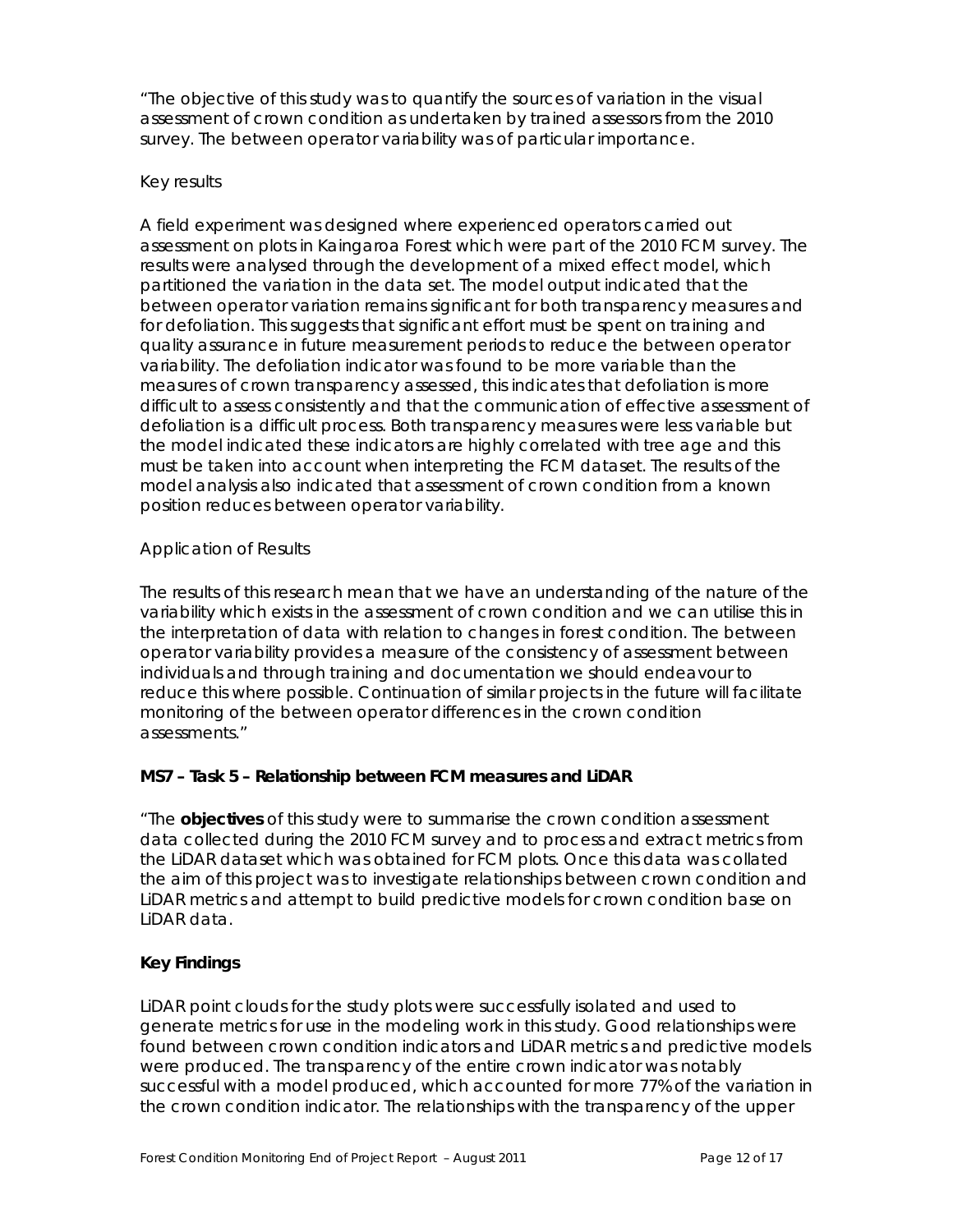*"The objective of this study was to quantify the sources of variation in the visual assessment of crown condition as undertaken by trained assessors from the 2010 survey. The between operator variability was of particular importance.* 

### *Key results*

*A field experiment was designed where experienced operators carried out assessment on plots in Kaingaroa Forest which were part of the 2010 FCM survey. The results were analysed through the development of a mixed effect model, which partitioned the variation in the data set. The model output indicated that the between operator variation remains significant for both transparency measures and for defoliation. This suggests that significant effort must be spent on training and quality assurance in future measurement periods to reduce the between operator variability. The defoliation indicator was found to be more variable than the measures of crown transparency assessed, this indicates that defoliation is more difficult to assess consistently and that the communication of effective assessment of defoliation is a difficult process. Both transparency measures were less variable but the model indicated these indicators are highly correlated with tree age and this must be taken into account when interpreting the FCM dataset. The results of the model analysis also indicated that assessment of crown condition from a known position reduces between operator variability.* 

### *Application of Results*

*The results of this research mean that we have an understanding of the nature of the variability which exists in the assessment of crown condition and we can utilise this in the interpretation of data with relation to changes in forest condition. The between operator variability provides a measure of the consistency of assessment between individuals and through training and documentation we should endeavour to reduce this where possible. Continuation of similar projects in the future will facilitate monitoring of the between operator differences in the crown condition assessments."* 

# **MS7 – Task 5 – Relationship between FCM measures and LiDAR**

*"The objectives of this study were to summarise the crown condition assessment data collected during the 2010 FCM survey and to process and extract metrics from the LiDAR dataset which was obtained for FCM plots. Once this data was collated the aim of this project was to investigate relationships between crown condition and LiDAR metrics and attempt to build predictive models for crown condition base on LiDAR data.* 

# *Key Findings*

*LiDAR point clouds for the study plots were successfully isolated and used to generate metrics for use in the modeling work in this study. Good relationships were found between crown condition indicators and LiDAR metrics and predictive models were produced. The transparency of the entire crown indicator was notably successful with a model produced, which accounted for more 77% of the variation in the crown condition indicator. The relationships with the transparency of the upper*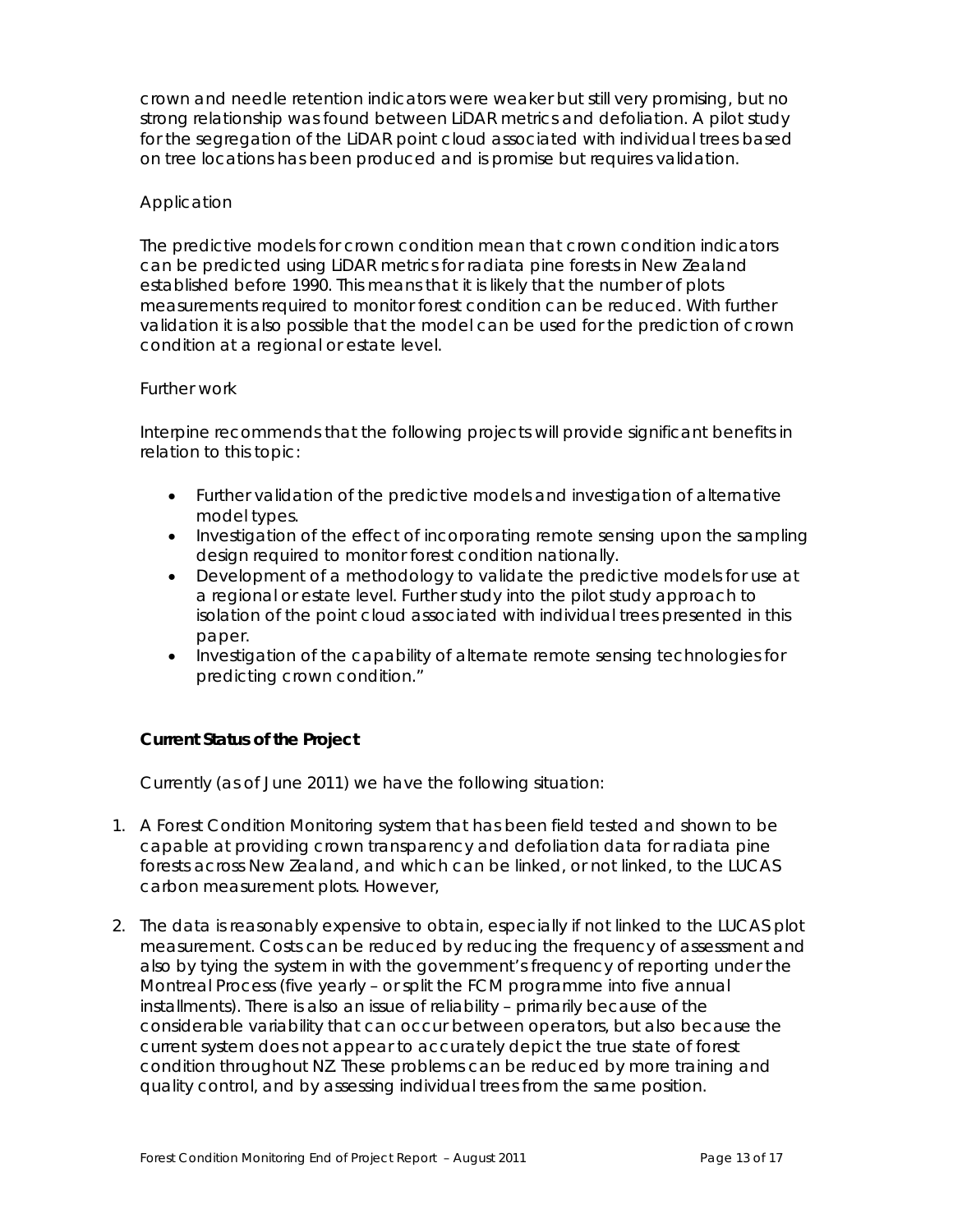*crown and needle retention indicators were weaker but still very promising, but no strong relationship was found between LiDAR metrics and defoliation. A pilot study for the segregation of the LiDAR point cloud associated with individual trees based on tree locations has been produced and is promise but requires validation.* 

## *Application*

*The predictive models for crown condition mean that crown condition indicators can be predicted using LiDAR metrics for radiata pine forests in New Zealand established before 1990. This means that it is likely that the number of plots measurements required to monitor forest condition can be reduced. With further validation it is also possible that the model can be used for the prediction of crown condition at a regional or estate level.* 

#### *Further work*

*Interpine recommends that the following projects will provide significant benefits in relation to this topic:* 

- *Further validation of the predictive models and investigation of alternative model types.*
- *Investigation of the effect of incorporating remote sensing upon the sampling design required to monitor forest condition nationally.*
- *Development of a methodology to validate the predictive models for use at a regional or estate level. Further study into the pilot study approach to isolation of the point cloud associated with individual trees presented in this paper.*
- *Investigation of the capability of alternate remote sensing technologies for predicting crown condition."*

# **Current Status of the Project**

Currently (as of June 2011) we have the following situation:

- 1. A Forest Condition Monitoring system that has been field tested and shown to be capable at providing crown transparency and defoliation data for radiata pine forests across New Zealand, and which can be linked, or not linked, to the LUCAS carbon measurement plots. However,
- 2. The data is reasonably expensive to obtain, especially if not linked to the LUCAS plot measurement. Costs can be reduced by reducing the frequency of assessment and also by tying the system in with the government's frequency of reporting under the Montreal Process (five yearly – or split the FCM programme into five annual installments). There is also an issue of reliability – primarily because of the considerable variability that can occur between operators, but also because the current system does not appear to accurately depict the true state of forest condition throughout NZ. These problems can be reduced by more training and quality control, and by assessing individual trees from the same position.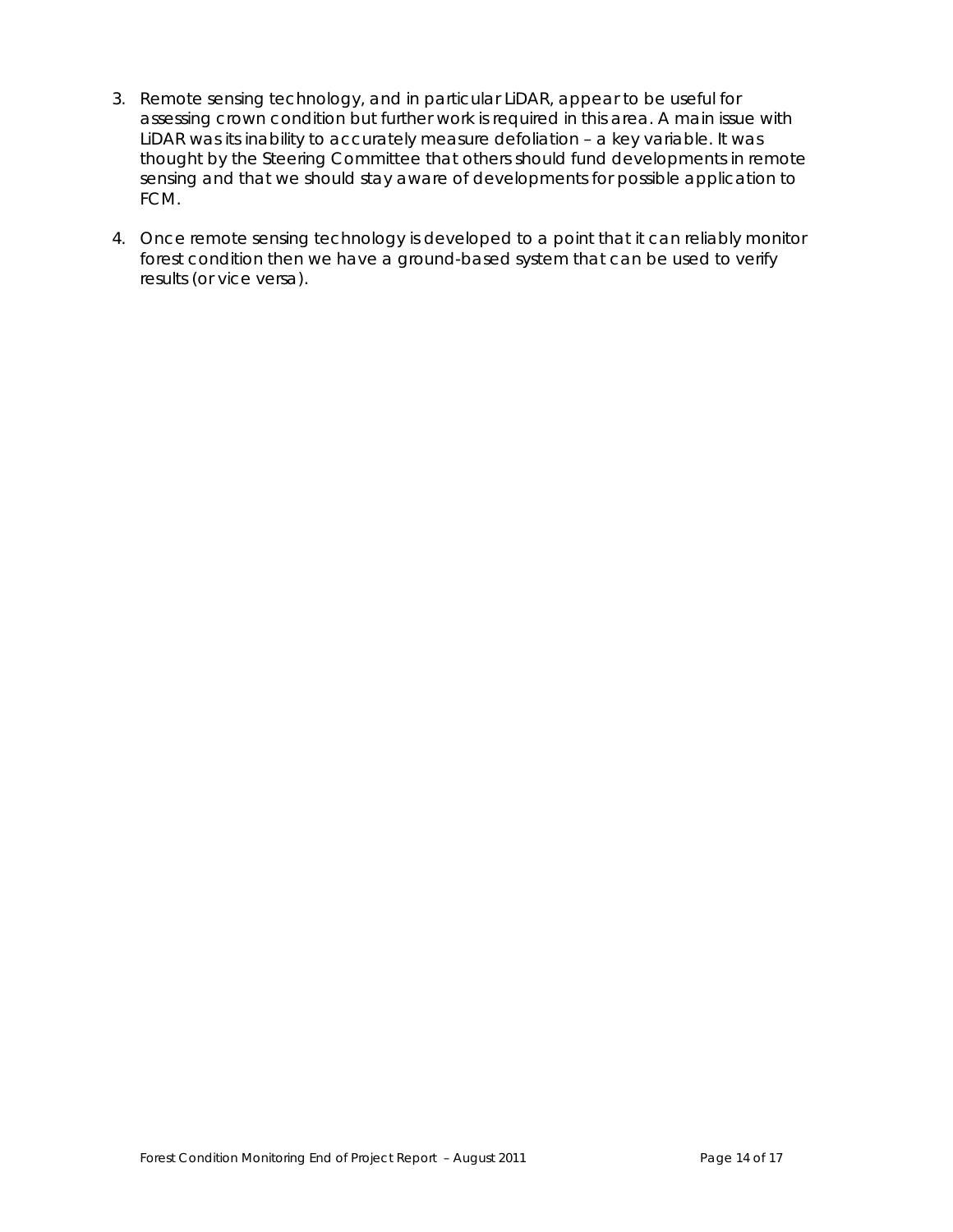- 3. Remote sensing technology, and in particular LiDAR, appear to be useful for assessing crown condition but further work is required in this area. A main issue with LiDAR was its inability to accurately measure defoliation – a key variable. It was thought by the Steering Committee that others should fund developments in remote sensing and that we should stay aware of developments for possible application to FCM.
- 4. Once remote sensing technology is developed to a point that it can reliably monitor forest condition then we have a ground-based system that can be used to verify results (or vice versa).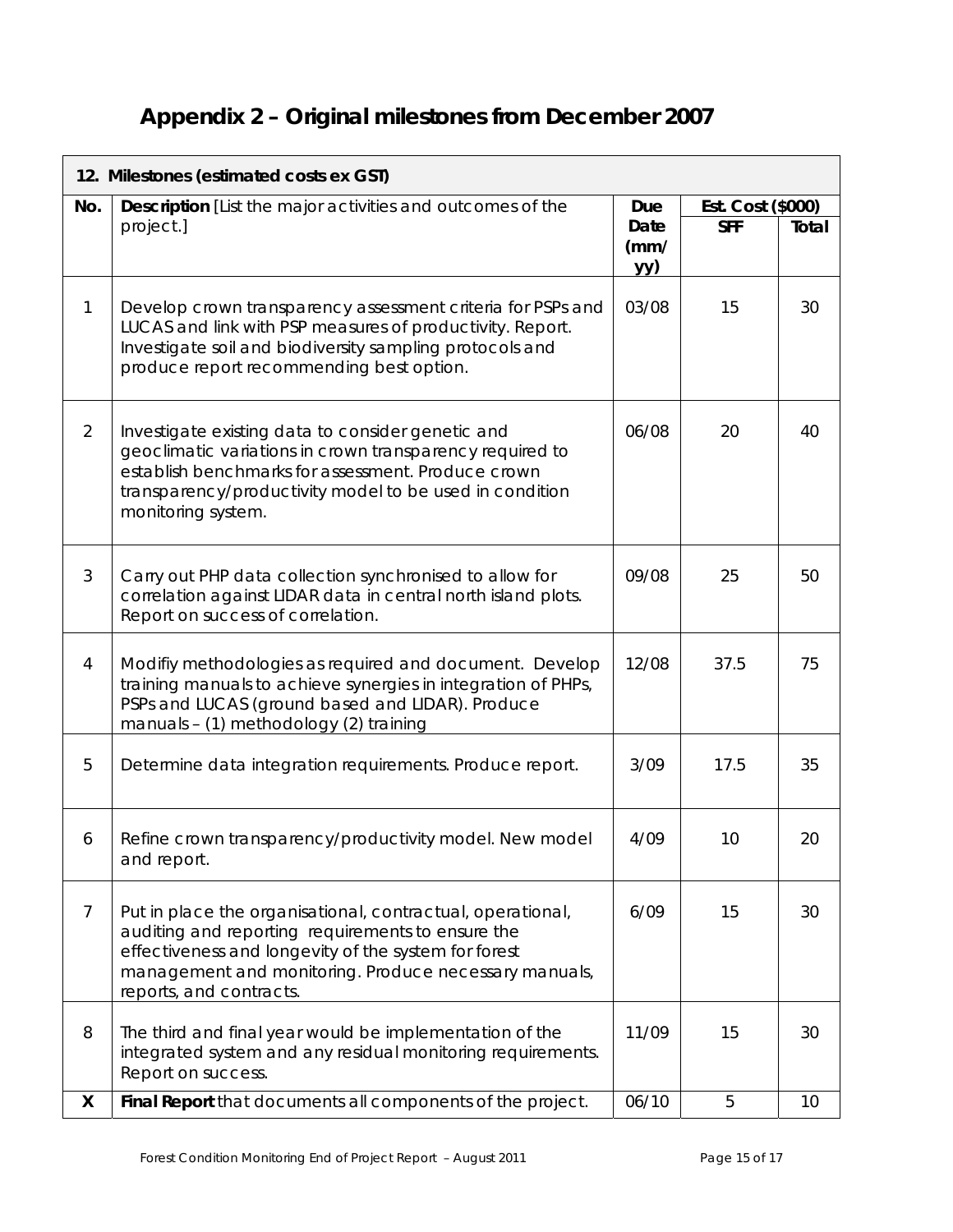# **Appendix 2 – Original milestones from December 2007**

| 12. Milestones (estimated costs ex GST) |                                                                                                                                                                                                                                                             |                     |                   |       |  |  |
|-----------------------------------------|-------------------------------------------------------------------------------------------------------------------------------------------------------------------------------------------------------------------------------------------------------------|---------------------|-------------------|-------|--|--|
| No.                                     | <b>Description</b> [List the major activities and outcomes of the                                                                                                                                                                                           |                     | Est. Cost (\$000) |       |  |  |
|                                         | project.]                                                                                                                                                                                                                                                   | Date<br>(mm/<br>yy) | <b>SFF</b>        | Total |  |  |
| $\mathbf{1}$                            | Develop crown transparency assessment criteria for PSPs and<br>LUCAS and link with PSP measures of productivity. Report.<br>Investigate soil and biodiversity sampling protocols and<br>produce report recommending best option.                            | 03/08               | 15                | 30    |  |  |
| 2                                       | Investigate existing data to consider genetic and<br>geoclimatic variations in crown transparency required to<br>establish benchmarks for assessment. Produce crown<br>transparency/productivity model to be used in condition<br>monitoring system.        | 06/08               | 20                | 40    |  |  |
| 3                                       | Carry out PHP data collection synchronised to allow for<br>correlation against LIDAR data in central north island plots.<br>Report on success of correlation.                                                                                               | 09/08               | 25                | 50    |  |  |
| $\overline{4}$                          | Modifiy methodologies as required and document. Develop<br>training manuals to achieve synergies in integration of PHPs,<br>PSPs and LUCAS (ground based and LIDAR). Produce<br>manuals - (1) methodology (2) training                                      | 12/08               | 37.5              | 75    |  |  |
| 5                                       | Determine data integration requirements. Produce report.                                                                                                                                                                                                    | 3/09                | 17.5              | 35    |  |  |
| 6                                       | Refine crown transparency/productivity model. New model<br>and report.                                                                                                                                                                                      | 4/09                | 10                | 20    |  |  |
| $\overline{7}$                          | Put in place the organisational, contractual, operational,<br>auditing and reporting requirements to ensure the<br>effectiveness and longevity of the system for forest<br>management and monitoring. Produce necessary manuals,<br>reports, and contracts. | 6/09                | 15                | 30    |  |  |
| 8                                       | The third and final year would be implementation of the<br>integrated system and any residual monitoring requirements.<br>Report on success.                                                                                                                | 11/09               | 15                | 30    |  |  |
| X                                       | Final Report that documents all components of the project.                                                                                                                                                                                                  | 06/10               | 5                 | 10    |  |  |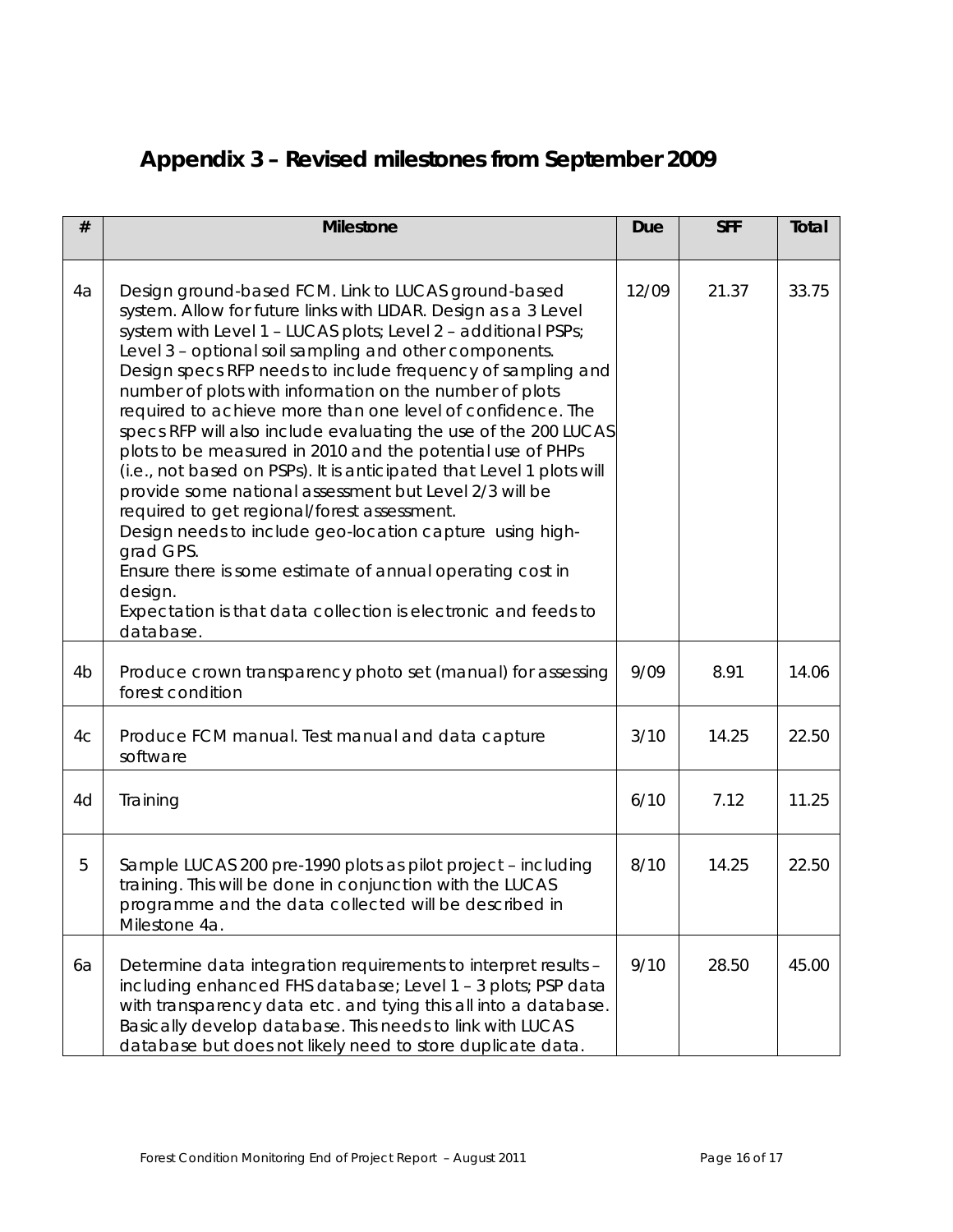# **Appendix 3 – Revised milestones from September 2009**

| #              | <b>Milestone</b>                                                                                                                                                                                                                                                                                                                                                                                                                                                                                                                                                                                                                                                                                                                                                                                                                                                                                                                                                                           | <b>Due</b> | <b>SFF</b> | Total |
|----------------|--------------------------------------------------------------------------------------------------------------------------------------------------------------------------------------------------------------------------------------------------------------------------------------------------------------------------------------------------------------------------------------------------------------------------------------------------------------------------------------------------------------------------------------------------------------------------------------------------------------------------------------------------------------------------------------------------------------------------------------------------------------------------------------------------------------------------------------------------------------------------------------------------------------------------------------------------------------------------------------------|------------|------------|-------|
| 4a             | Design ground-based FCM. Link to LUCAS ground-based<br>system. Allow for future links with LIDAR. Design as a 3 Level<br>system with Level 1 - LUCAS plots; Level 2 - additional PSPs;<br>Level 3 - optional soil sampling and other components.<br>Design specs RFP needs to include frequency of sampling and<br>number of plots with information on the number of plots<br>required to achieve more than one level of confidence. The<br>specs RFP will also include evaluating the use of the 200 LUCAS<br>plots to be measured in 2010 and the potential use of PHPs<br>(i.e., not based on PSPs). It is anticipated that Level 1 plots will<br>provide some national assessment but Level 2/3 will be<br>required to get regional/forest assessment.<br>Design needs to include geo-location capture using high-<br>grad GPS.<br>Ensure there is some estimate of annual operating cost in<br>design.<br>Expectation is that data collection is electronic and feeds to<br>database. | 12/09      | 21.37      | 33.75 |
| 4 <sub>b</sub> | Produce crown transparency photo set (manual) for assessing<br>forest condition                                                                                                                                                                                                                                                                                                                                                                                                                                                                                                                                                                                                                                                                                                                                                                                                                                                                                                            | 9/09       | 8.91       | 14.06 |
| 4c             | Produce FCM manual. Test manual and data capture<br>software                                                                                                                                                                                                                                                                                                                                                                                                                                                                                                                                                                                                                                                                                                                                                                                                                                                                                                                               | 3/10       | 14.25      | 22.50 |
| 4d             | Training                                                                                                                                                                                                                                                                                                                                                                                                                                                                                                                                                                                                                                                                                                                                                                                                                                                                                                                                                                                   | 6/10       | 7.12       | 11.25 |
| 5              | Sample LUCAS 200 pre-1990 plots as pilot project - including<br>training. This will be done in conjunction with the LUCAS<br>programme and the data collected will be described in<br>Milestone 4a.                                                                                                                                                                                                                                                                                                                                                                                                                                                                                                                                                                                                                                                                                                                                                                                        | 8/10       | 14.25      | 22.50 |
| 6a             | Determine data integration requirements to interpret results -<br>including enhanced FHS database; Level 1 - 3 plots; PSP data<br>with transparency data etc. and tying this all into a database.<br>Basically develop database. This needs to link with LUCAS<br>database but does not likely need to store duplicate data.                                                                                                                                                                                                                                                                                                                                                                                                                                                                                                                                                                                                                                                               | 9/10       | 28.50      | 45.00 |